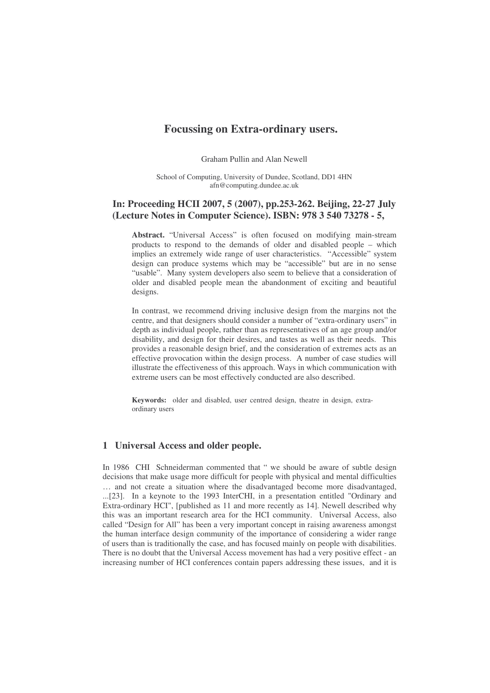# **Focussing on Extra-ordinary users.**

Graham Pullin and Alan Newell

School of Computing, University of Dundee, Scotland, DD1 4HN afn@computing.dundee.ac.uk

## **In: Proceeding HCII 2007, 5 (2007), pp.253-262. Beijing, 22-27 July (Lecture Notes in Computer Science). ISBN: 978 3 540 73278 - 5,**

**Abstract.** "Universal Access" is often focused on modifying main-stream products to respond to the demands of older and disabled people – which implies an extremely wide range of user characteristics. "Accessible" system design can produce systems which may be "accessible" but are in no sense "usable". Many system developers also seem to believe that a consideration of older and disabled people mean the abandonment of exciting and beautiful designs.

In contrast, we recommend driving inclusive design from the margins not the centre, and that designers should consider a number of "extra-ordinary users" in depth as individual people, rather than as representatives of an age group and/or disability, and design for their desires, and tastes as well as their needs. This provides a reasonable design brief, and the consideration of extremes acts as an effective provocation within the design process. A number of case studies will illustrate the effectiveness of this approach. Ways in which communication with extreme users can be most effectively conducted are also described.

**Keywords:** older and disabled, user centred design, theatre in design, extraordinary users

## **1 Universal Access and older people.**

In 1986 CHI Schneiderman commented that " we should be aware of subtle design decisions that make usage more difficult for people with physical and mental difficulties … and not create a situation where the disadvantaged become more disadvantaged, ...[23]. In a keynote to the 1993 InterCHI, in a presentation entitled "Ordinary and Extra-ordinary HCI", [published as 11 and more recently as 14]. Newell described why this was an important research area for the HCI community. Universal Access, also called "Design for All" has been a very important concept in raising awareness amongst the human interface design community of the importance of considering a wider range of users than is traditionally the case, and has focused mainly on people with disabilities. There is no doubt that the Universal Access movement has had a very positive effect - an increasing number of HCI conferences contain papers addressing these issues, and it is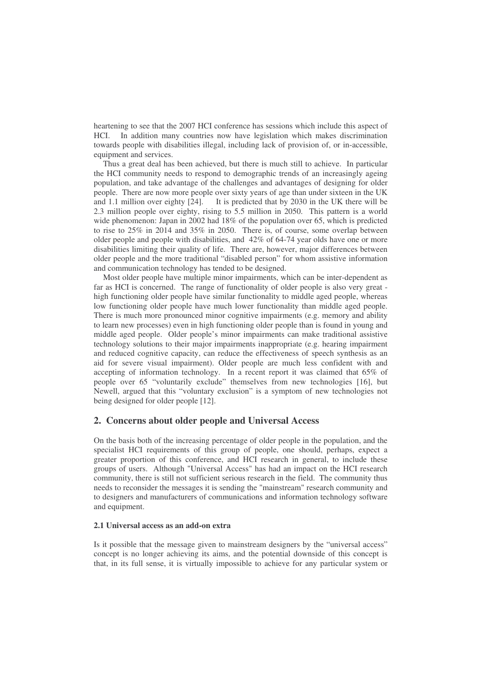heartening to see that the 2007 HCI conference has sessions which include this aspect of HCI. In addition many countries now have legislation which makes discrimination towards people with disabilities illegal, including lack of provision of, or in-accessible, equipment and services.

Thus a great deal has been achieved, but there is much still to achieve. In particular the HCI community needs to respond to demographic trends of an increasingly ageing population, and take advantage of the challenges and advantages of designing for older people. There are now more people over sixty years of age than under sixteen in the UK and 1.1 million over eighty [24]. It is predicted that by 2030 in the UK there will be 2.3 million people over eighty, rising to 5.5 million in 2050. This pattern is a world wide phenomenon: Japan in 2002 had 18% of the population over 65, which is predicted to rise to 25% in 2014 and 35% in 2050. There is, of course, some overlap between older people and people with disabilities, and 42% of 64-74 year olds have one or more disabilities limiting their quality of life. There are, however, major differences between older people and the more traditional "disabled person" for whom assistive information and communication technology has tended to be designed.

Most older people have multiple minor impairments, which can be inter-dependent as far as HCI is concerned. The range of functionality of older people is also very great high functioning older people have similar functionality to middle aged people, whereas low functioning older people have much lower functionality than middle aged people. There is much more pronounced minor cognitive impairments (e.g. memory and ability to learn new processes) even in high functioning older people than is found in young and middle aged people. Older people's minor impairments can make traditional assistive technology solutions to their major impairments inappropriate (e.g. hearing impairment and reduced cognitive capacity, can reduce the effectiveness of speech synthesis as an aid for severe visual impairment). Older people are much less confident with and accepting of information technology. In a recent report it was claimed that 65% of people over 65 "voluntarily exclude" themselves from new technologies [16], but Newell, argued that this "voluntary exclusion" is a symptom of new technologies not being designed for older people [12].

## **2. Concerns about older people and Universal Access**

On the basis both of the increasing percentage of older people in the population, and the specialist HCI requirements of this group of people, one should, perhaps, expect a greater proportion of this conference, and HCI research in general, to include these groups of users. Although "Universal Access" has had an impact on the HCI research community, there is still not sufficient serious research in the field. The community thus needs to reconsider the messages it is sending the "mainstream" research community and to designers and manufacturers of communications and information technology software and equipment.

### **2.1 Universal access as an add-on extra**

Is it possible that the message given to mainstream designers by the "universal access" concept is no longer achieving its aims, and the potential downside of this concept is that, in its full sense, it is virtually impossible to achieve for any particular system or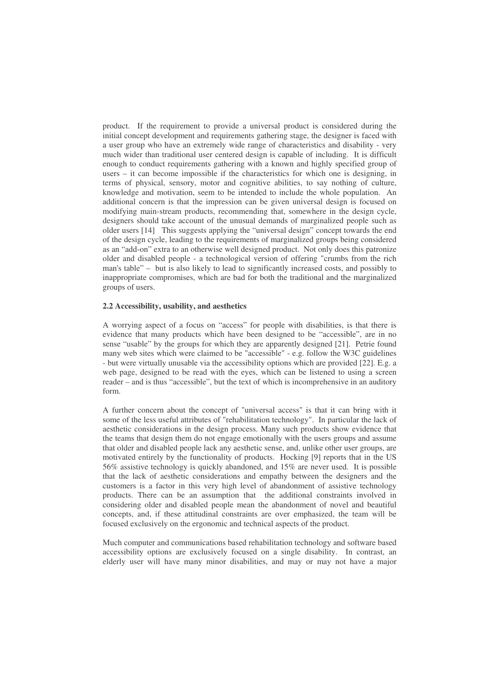product. If the requirement to provide a universal product is considered during the initial concept development and requirements gathering stage, the designer is faced with a user group who have an extremely wide range of characteristics and disability - very much wider than traditional user centered design is capable of including. It is difficult enough to conduct requirements gathering with a known and highly specified group of users – it can become impossible if the characteristics for which one is designing, in terms of physical, sensory, motor and cognitive abilities, to say nothing of culture, knowledge and motivation, seem to be intended to include the whole population. An additional concern is that the impression can be given universal design is focused on modifying main-stream products, recommending that, somewhere in the design cycle, designers should take account of the unusual demands of marginalized people such as older users [14] This suggests applying the "universal design" concept towards the end of the design cycle, leading to the requirements of marginalized groups being considered as an "add-on" extra to an otherwise well designed product. Not only does this patronize older and disabled people - a technological version of offering "crumbs from the rich man's table" – but is also likely to lead to significantly increased costs, and possibly to inappropriate compromises, which are bad for both the traditional and the marginalized groups of users.

### **2.2 Accessibility, usability, and aesthetics**

A worrying aspect of a focus on "access" for people with disabilities, is that there is evidence that many products which have been designed to be "accessible", are in no sense "usable" by the groups for which they are apparently designed [21]. Petrie found many web sites which were claimed to be "accessible" - e.g. follow the W3C guidelines - but were virtually unusable via the accessibility options which are provided [22]. E.g. a web page, designed to be read with the eyes, which can be listened to using a screen reader – and is thus "accessible", but the text of which is incomprehensive in an auditory form.

A further concern about the concept of "universal access" is that it can bring with it some of the less useful attributes of "rehabilitation technology". In particular the lack of aesthetic considerations in the design process. Many such products show evidence that the teams that design them do not engage emotionally with the users groups and assume that older and disabled people lack any aesthetic sense, and, unlike other user groups, are motivated entirely by the functionality of products. Hocking [9] reports that in the US 56% assistive technology is quickly abandoned, and 15% are never used. It is possible that the lack of aesthetic considerations and empathy between the designers and the customers is a factor in this very high level of abandonment of assistive technology products. There can be an assumption that the additional constraints involved in considering older and disabled people mean the abandonment of novel and beautiful concepts, and, if these attitudinal constraints are over emphasized, the team will be focused exclusively on the ergonomic and technical aspects of the product.

Much computer and communications based rehabilitation technology and software based accessibility options are exclusively focused on a single disability. In contrast, an elderly user will have many minor disabilities, and may or may not have a major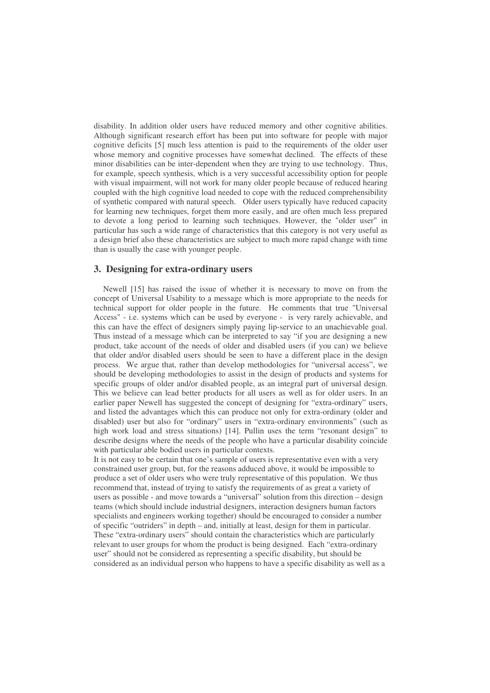disability. In addition older users have reduced memory and other cognitive abilities. Although significant research effort has been put into software for people with major cognitive deficits [5] much less attention is paid to the requirements of the older user whose memory and cognitive processes have somewhat declined. The effects of these minor disabilities can be inter-dependent when they are trying to use technology. Thus, for example, speech synthesis, which is a very successful accessibility option for people with visual impairment, will not work for many older people because of reduced hearing coupled with the high cognitive load needed to cope with the reduced comprehensibility of synthetic compared with natural speech. Older users typically have reduced capacity for learning new techniques, forget them more easily, and are often much less prepared to devote a long period to learning such techniques. However, the "older user" in particular has such a wide range of characteristics that this category is not very useful as a design brief also these characteristics are subject to much more rapid change with time than is usually the case with younger people.

### **3. Designing for extra-ordinary users**

Newell [15] has raised the issue of whether it is necessary to move on from the concept of Universal Usability to a message which is more appropriate to the needs for technical support for older people in the future. He comments that true "Universal Access" - i.e. systems which can be used by everyone - is very rarely achievable, and this can have the effect of designers simply paying lip-service to an unachievable goal. Thus instead of a message which can be interpreted to say "if you are designing a new product, take account of the needs of older and disabled users (if you can) we believe that older and/or disabled users should be seen to have a different place in the design process. We argue that, rather than develop methodologies for "universal access", we should be developing methodologies to assist in the design of products and systems for specific groups of older and/or disabled people, as an integral part of universal design. This we believe can lead better products for all users as well as for older users. In an earlier paper Newell has suggested the concept of designing for "extra-ordinary" users, and listed the advantages which this can produce not only for extra-ordinary (older and disabled) user but also for "ordinary" users in "extra-ordinary environments" (such as high work load and stress situations) [14]. Pullin uses the term "resonant design" to describe designs where the needs of the people who have a particular disability coincide with particular able bodied users in particular contexts.

It is not easy to be certain that one's sample of users is representative even with a very constrained user group, but, for the reasons adduced above, it would be impossible to produce a set of older users who were truly representative of this population. We thus recommend that, instead of trying to satisfy the requirements of as great a variety of users as possible - and move towards a "universal" solution from this direction – design teams (which should include industrial designers, interaction designers human factors specialists and engineers working together) should be encouraged to consider a number of specific "outriders" in depth – and, initially at least, design for them in particular. These "extra-ordinary users" should contain the characteristics which are particularly relevant to user groups for whom the product is being designed. Each "extra-ordinary user" should not be considered as representing a specific disability, but should be considered as an individual person who happens to have a specific disability as well as a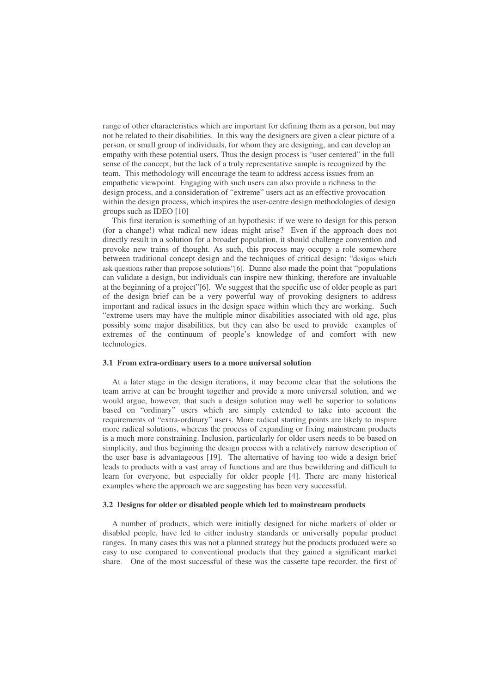range of other characteristics which are important for defining them as a person, but may not be related to their disabilities. In this way the designers are given a clear picture of a person, or small group of individuals, for whom they are designing, and can develop an empathy with these potential users. Thus the design process is "user centered" in the full sense of the concept, but the lack of a truly representative sample is recognized by the team. This methodology will encourage the team to address access issues from an empathetic viewpoint. Engaging with such users can also provide a richness to the design process, and a consideration of "extreme" users act as an effective provocation within the design process, which inspires the user-centre design methodologies of design groups such as IDEO [10]

This first iteration is something of an hypothesis: if we were to design for this person (for a change!) what radical new ideas might arise? Even if the approach does not directly result in a solution for a broader population, it should challenge convention and provoke new trains of thought. As such, this process may occupy a role somewhere between traditional concept design and the techniques of critical design: "designs which ask questions rather than propose solutions"[6]. Dunne also made the point that "populations can validate a design, but individuals can inspire new thinking, therefore are invaluable at the beginning of a project"[6]. We suggest that the specific use of older people as part of the design brief can be a very powerful way of provoking designers to address important and radical issues in the design space within which they are working. Such "extreme users may have the multiple minor disabilities associated with old age, plus possibly some major disabilities, but they can also be used to provide examples of extremes of the continuum of people's knowledge of and comfort with new technologies.

#### **3.1 From extra-ordinary users to a more universal solution**

At a later stage in the design iterations, it may become clear that the solutions the team arrive at can be brought together and provide a more universal solution, and we would argue, however, that such a design solution may well be superior to solutions based on "ordinary" users which are simply extended to take into account the requirements of "extra-ordinary" users. More radical starting points are likely to inspire more radical solutions, whereas the process of expanding or fixing mainstream products is a much more constraining. Inclusion, particularly for older users needs to be based on simplicity, and thus beginning the design process with a relatively narrow description of the user base is advantageous [19]. The alternative of having too wide a design brief leads to products with a vast array of functions and are thus bewildering and difficult to learn for everyone, but especially for older people [4]. There are many historical examples where the approach we are suggesting has been very successful.

#### **3.2 Designs for older or disabled people which led to mainstream products**

A number of products, which were initially designed for niche markets of older or disabled people, have led to either industry standards or universally popular product ranges. In many cases this was not a planned strategy but the products produced were so easy to use compared to conventional products that they gained a significant market share. One of the most successful of these was the cassette tape recorder, the first of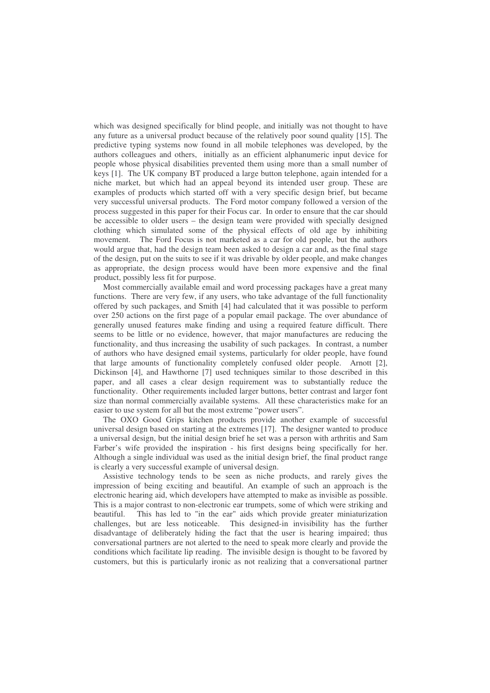which was designed specifically for blind people, and initially was not thought to have any future as a universal product because of the relatively poor sound quality [15]. The predictive typing systems now found in all mobile telephones was developed, by the authors colleagues and others, initially as an efficient alphanumeric input device for people whose physical disabilities prevented them using more than a small number of keys [1]. The UK company BT produced a large button telephone, again intended for a niche market, but which had an appeal beyond its intended user group. These are examples of products which started off with a very specific design brief, but became very successful universal products. The Ford motor company followed a version of the process suggested in this paper for their Focus car. In order to ensure that the car should be accessible to older users – the design team were provided with specially designed clothing which simulated some of the physical effects of old age by inhibiting movement. The Ford Focus is not marketed as a car for old people, but the authors would argue that, had the design team been asked to design a car and, as the final stage of the design, put on the suits to see if it was drivable by older people, and make changes as appropriate, the design process would have been more expensive and the final product, possibly less fit for purpose.

Most commercially available email and word processing packages have a great many functions. There are very few, if any users, who take advantage of the full functionality offered by such packages, and Smith [4] had calculated that it was possible to perform over 250 actions on the first page of a popular email package. The over abundance of generally unused features make finding and using a required feature difficult. There seems to be little or no evidence, however, that major manufactures are reducing the functionality, and thus increasing the usability of such packages. In contrast, a number of authors who have designed email systems, particularly for older people, have found that large amounts of functionality completely confused older people. Arnott [2], Dickinson [4], and Hawthorne [7] used techniques similar to those described in this paper, and all cases a clear design requirement was to substantially reduce the functionality. Other requirements included larger buttons, better contrast and larger font size than normal commercially available systems. All these characteristics make for an easier to use system for all but the most extreme "power users".

The OXO Good Grips kitchen products provide another example of successful universal design based on starting at the extremes [17]. The designer wanted to produce a universal design, but the initial design brief he set was a person with arthritis and Sam Farber's wife provided the inspiration - his first designs being specifically for her. Although a single individual was used as the initial design brief, the final product range is clearly a very successful example of universal design.

Assistive technology tends to be seen as niche products, and rarely gives the impression of being exciting and beautiful. An example of such an approach is the electronic hearing aid, which developers have attempted to make as invisible as possible. This is a major contrast to non-electronic ear trumpets, some of which were striking and beautiful. This has led to "in the ear" aids which provide greater miniaturization challenges, but are less noticeable. This designed-in invisibility has the further disadvantage of deliberately hiding the fact that the user is hearing impaired; thus conversational partners are not alerted to the need to speak more clearly and provide the conditions which facilitate lip reading. The invisible design is thought to be favored by customers, but this is particularly ironic as not realizing that a conversational partner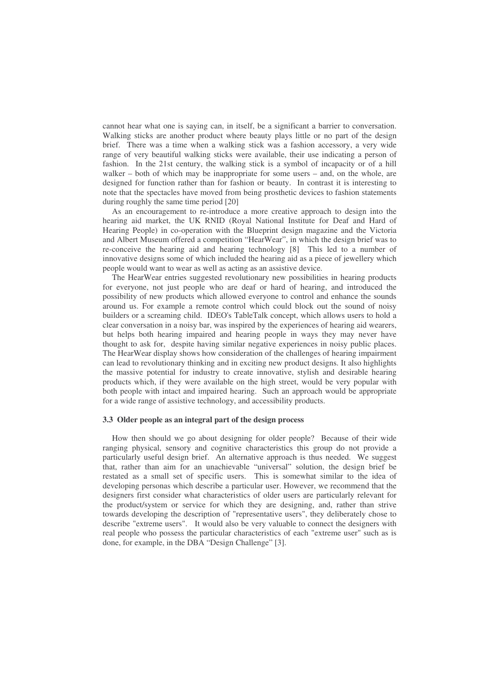cannot hear what one is saying can, in itself, be a significant a barrier to conversation. Walking sticks are another product where beauty plays little or no part of the design brief. There was a time when a walking stick was a fashion accessory, a very wide range of very beautiful walking sticks were available, their use indicating a person of fashion. In the 21st century, the walking stick is a symbol of incapacity or of a hill walker – both of which may be inappropriate for some users – and, on the whole, are designed for function rather than for fashion or beauty. In contrast it is interesting to note that the spectacles have moved from being prosthetic devices to fashion statements during roughly the same time period [20]

As an encouragement to re-introduce a more creative approach to design into the hearing aid market, the UK RNID (Royal National Institute for Deaf and Hard of Hearing People) in co-operation with the Blueprint design magazine and the Victoria and Albert Museum offered a competition "HearWear", in which the design brief was to re-conceive the hearing aid and hearing technology [8] This led to a number of innovative designs some of which included the hearing aid as a piece of jewellery which people would want to wear as well as acting as an assistive device.

The HearWear entries suggested revolutionary new possibilities in hearing products for everyone, not just people who are deaf or hard of hearing, and introduced the possibility of new products which allowed everyone to control and enhance the sounds around us. For example a remote control which could block out the sound of noisy builders or a screaming child. IDEO's TableTalk concept, which allows users to hold a clear conversation in a noisy bar, was inspired by the experiences of hearing aid wearers, but helps both hearing impaired and hearing people in ways they may never have thought to ask for, despite having similar negative experiences in noisy public places. The HearWear display shows how consideration of the challenges of hearing impairment can lead to revolutionary thinking and in exciting new product designs. It also highlights the massive potential for industry to create innovative, stylish and desirable hearing products which, if they were available on the high street, would be very popular with both people with intact and impaired hearing. Such an approach would be appropriate for a wide range of assistive technology, and accessibility products.

#### **3.3 Older people as an integral part of the design process**

How then should we go about designing for older people? Because of their wide ranging physical, sensory and cognitive characteristics this group do not provide a particularly useful design brief. An alternative approach is thus needed. We suggest that, rather than aim for an unachievable "universal" solution, the design brief be restated as a small set of specific users. This is somewhat similar to the idea of developing personas which describe a particular user. However, we recommend that the designers first consider what characteristics of older users are particularly relevant for the product/system or service for which they are designing, and, rather than strive towards developing the description of "representative users", they deliberately chose to describe "extreme users". It would also be very valuable to connect the designers with real people who possess the particular characteristics of each "extreme user" such as is done, for example, in the DBA "Design Challenge" [3].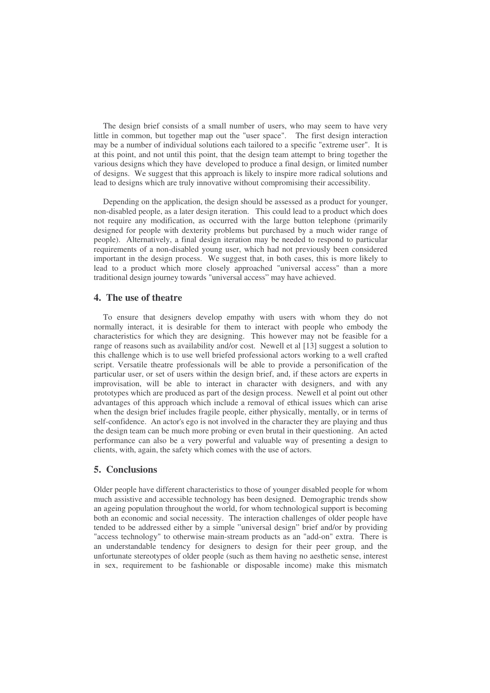The design brief consists of a small number of users, who may seem to have very little in common, but together map out the "user space". The first design interaction may be a number of individual solutions each tailored to a specific "extreme user". It is at this point, and not until this point, that the design team attempt to bring together the various designs which they have developed to produce a final design, or limited number of designs. We suggest that this approach is likely to inspire more radical solutions and lead to designs which are truly innovative without compromising their accessibility.

Depending on the application, the design should be assessed as a product for younger, non-disabled people, as a later design iteration. This could lead to a product which does not require any modification, as occurred with the large button telephone (primarily designed for people with dexterity problems but purchased by a much wider range of people). Alternatively, a final design iteration may be needed to respond to particular requirements of a non-disabled young user, which had not previously been considered important in the design process. We suggest that, in both cases, this is more likely to lead to a product which more closely approached "universal access" than a more traditional design journey towards "universal access" may have achieved.

### **4. The use of theatre**

To ensure that designers develop empathy with users with whom they do not normally interact, it is desirable for them to interact with people who embody the characteristics for which they are designing. This however may not be feasible for a range of reasons such as availability and/or cost. Newell et al [13] suggest a solution to this challenge which is to use well briefed professional actors working to a well crafted script. Versatile theatre professionals will be able to provide a personification of the particular user, or set of users within the design brief, and, if these actors are experts in improvisation, will be able to interact in character with designers, and with any prototypes which are produced as part of the design process. Newell et al point out other advantages of this approach which include a removal of ethical issues which can arise when the design brief includes fragile people, either physically, mentally, or in terms of self-confidence. An actor's ego is not involved in the character they are playing and thus the design team can be much more probing or even brutal in their questioning. An acted performance can also be a very powerful and valuable way of presenting a design to clients, with, again, the safety which comes with the use of actors.

# **5. Conclusions**

Older people have different characteristics to those of younger disabled people for whom much assistive and accessible technology has been designed. Demographic trends show an ageing population throughout the world, for whom technological support is becoming both an economic and social necessity. The interaction challenges of older people have tended to be addressed either by a simple "universal design" brief and/or by providing "access technology" to otherwise main-stream products as an "add-on" extra. There is an understandable tendency for designers to design for their peer group, and the unfortunate stereotypes of older people (such as them having no aesthetic sense, interest in sex, requirement to be fashionable or disposable income) make this mismatch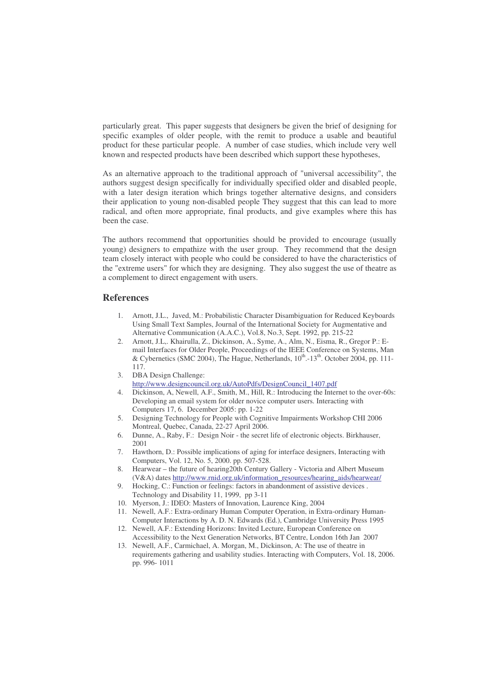particularly great. This paper suggests that designers be given the brief of designing for specific examples of older people, with the remit to produce a usable and beautiful product for these particular people. A number of case studies, which include very well known and respected products have been described which support these hypotheses,

As an alternative approach to the traditional approach of "universal accessibility", the authors suggest design specifically for individually specified older and disabled people, with a later design iteration which brings together alternative designs, and considers their application to young non-disabled people They suggest that this can lead to more radical, and often more appropriate, final products, and give examples where this has been the case.

The authors recommend that opportunities should be provided to encourage (usually young) designers to empathize with the user group. They recommend that the design team closely interact with people who could be considered to have the characteristics of the "extreme users" for which they are designing. They also suggest the use of theatre as a complement to direct engagement with users.

### **References**

- 1. Arnott, J.L., Javed, M.: Probabilistic Character Disambiguation for Reduced Keyboards Using Small Text Samples, Journal of the International Society for Augmentative and Alternative Communication (A.A.C.), Vol.8, No.3, Sept. 1992, pp. 215-22
- 2. Arnott, J.L,. Khairulla, Z., Dickinson, A., Syme, A., Alm, N., Eisma, R., Gregor P.: Email Interfaces for Older People, Proceedings of the IEEE Conference on Systems, Man & Cybernetics (SMC 2004), The Hague, Netherlands,  $10^{th}$ -13<sup>th</sup>. October 2004, pp. 111-117.
- 3. DBA Design Challenge: http://www.designcouncil.org.uk/AutoPdfs/DesignCouncil\_1407.pdf
- 4. Dickinson, A, Newell, A.F., Smith, M., Hill, R.: Introducing the Internet to the over-60s: Developing an email system for older novice computer users. Interacting with Computers 17, 6. December 2005: pp. 1-22
- 5. Designing Technology for People with Cognitive Impairments Workshop CHI 2006 Montreal, Quebec, Canada, 22-27 April 2006.
- 6. Dunne, A., Raby, F.: Design Noir the secret life of electronic objects. Birkhauser, 2001
- 7. Hawthorn, D.: Possible implications of aging for interface designers, Interacting with Computers, Vol. 12, No. 5, 2000. pp. 507-528.
- 8. Hearwear the future of hearing20th Century Gallery Victoria and Albert Museum (V&A) dates http://www.rnid.org.uk/information\_resources/hearing\_aids/hearwear/
- 9. Hocking, C.: Function or feelings: factors in abandonment of assistive devices . Technology and Disability 11, 1999, pp 3-11
- 10. Myerson, J.: IDEO: Masters of Innovation, Laurence King, 2004
- 11. Newell, A.F.: Extra-ordinary Human Computer Operation, in Extra-ordinary Human-Computer Interactions by A. D. N. Edwards (Ed.), Cambridge University Press 1995
- 12. Newell, A.F.: Extending Horizons: Invited Lecture, European Conference on Accessibility to the Next Generation Networks, BT Centre, London 16th Jan 2007
- 13. Newell, A.F., Carmichael, A. Morgan, M., Dickinson, A: The use of theatre in requirements gathering and usability studies. Interacting with Computers, Vol. 18, 2006. pp. 996- 1011